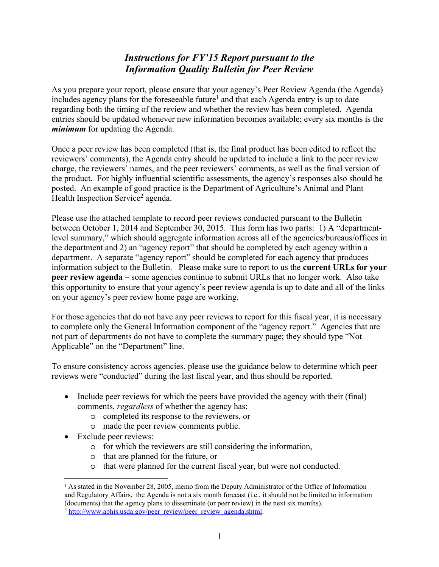## *Instructions for FY'15 Report pursuant to the Information Quality Bulletin for Peer Review*

As you prepare your report, please ensure that your agency's Peer Review Agenda (the Agenda) includes agency plans for the foreseeable future<sup>1</sup> and that each Agenda entry is up to date regarding both the timing of the review and whether the review has been completed. Agenda entries should be updated whenever new information becomes available; every six months is the *minimum* for updating the Agenda.

Once a peer review has been completed (that is, the final product has been edited to reflect the reviewers' comments), the Agenda entry should be updated to include a link to the peer review charge, the reviewers' names, and the peer reviewers' comments, as well as the final version of the product. For highly influential scientific assessments, the agency's responses also should be posted. An example of good practice is the Department of Agriculture's Animal and Plant Health Inspection Service<sup>2</sup> agenda.

Please use the attached template to record peer reviews conducted pursuant to the Bulletin between October 1, 2014 and September 30, 2015. This form has two parts: 1) A "departmentlevel summary," which should aggregate information across all of the agencies/bureaus/offices in the department and 2) an "agency report" that should be completed by each agency within a department. A separate "agency report" should be completed for each agency that produces information subject to the Bulletin. Please make sure to report to us the **current URLs for your peer review agenda** – some agencies continue to submit URLs that no longer work. Also take this opportunity to ensure that your agency's peer review agenda is up to date and all of the links on your agency's peer review home page are working.

For those agencies that do not have any peer reviews to report for this fiscal year, it is necessary to complete only the General Information component of the "agency report." Agencies that are not part of departments do not have to complete the summary page; they should type "Not Applicable" on the "Department" line.

To ensure consistency across agencies, please use the guidance below to determine which peer reviews were "conducted" during the last fiscal year, and thus should be reported.

- Include peer reviews for which the peers have provided the agency with their (final) comments, *regardless* of whether the agency has:
	- o completed its response to the reviewers, or
	- o made the peer review comments public.
- Exclude peer reviews:

 $\overline{a}$ 

- o for which the reviewers are still considering the information,
- o that are planned for the future, or
- o that were planned for the current fiscal year, but were not conducted.

<sup>&</sup>lt;sup>1</sup> As stated in the November 28, 2005, memo from the Deputy Administrator of the Office of Information and Regulatory Affairs, the Agenda is not a six month forecast (i.e., it should not be limited to information (documents) that the agency plans to disseminate (or peer review) in the next six months).

 $^{2}$  http://www.aphis.usda.gov/peer\_review/peer\_review\_agenda.shtml.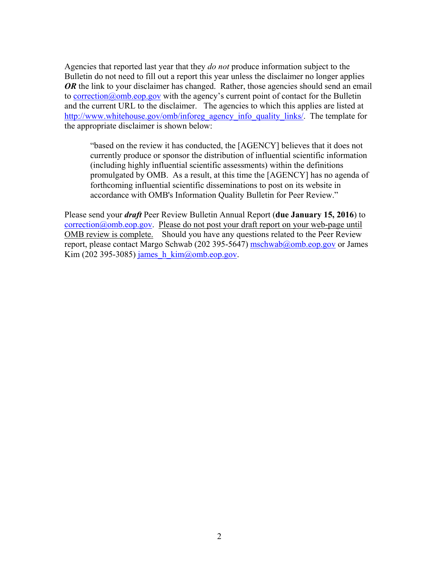Agencies that reported last year that they *do not* produce information subject to the Bulletin do not need to fill out a report this year unless the disclaimer no longer applies *OR* the link to your disclaimer has changed. Rather, those agencies should send an email to correction@omb.eop.gov with the agency's current point of contact for the Bulletin and the current URL to the disclaimer. The agencies to which this applies are listed at http://www.whitehouse.gov/omb/inforeg\_agency\_info\_quality\_links/. The template for the appropriate disclaimer is shown below:

"based on the review it has conducted, the [AGENCY] believes that it does not currently produce or sponsor the distribution of influential scientific information (including highly influential scientific assessments) within the definitions promulgated by OMB. As a result, at this time the [AGENCY] has no agenda of forthcoming influential scientific disseminations to post on its website in accordance with OMB's Information Quality Bulletin for Peer Review."

Please send your *draft* Peer Review Bulletin Annual Report (**due January 15, 2016**) to correction@omb.eop.gov. Please do not post your draft report on your web-page until OMB review is complete.Should you have any questions related to the Peer Review report, please contact Margo Schwab (202 395-5647) mschwab@omb.eop.gov or James Kim (202 395-3085) james  $h$  kim $\omega$ omb.eop.gov.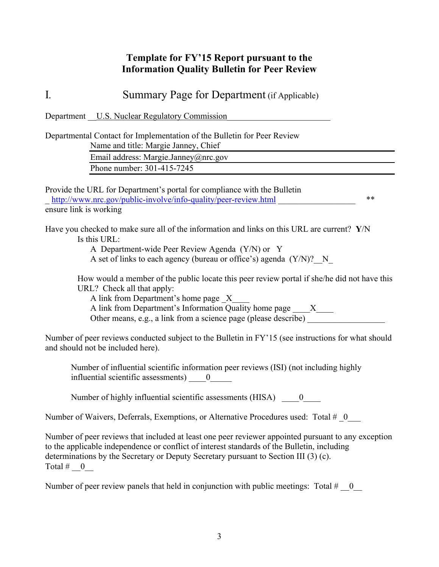## **Template for FY'15 Report pursuant to the Information Quality Bulletin for Peer Review**

I*.* Summary Page for Department (if Applicable)

Department U.S. Nuclear Regulatory Commission

Departmental Contact for Implementation of the Bulletin for Peer Review Name and title: Margie Janney, Chief

> Email address: Margie.Janney@nrc.gov Phone number: 301-415-7245

Provide the URL for Department's portal for compliance with the Bulletin http://www.nrc.gov/public-involve/info-quality/peer-review.html \*\* ensure link is working

Have you checked to make sure all of the information and links on this URL are current? **Y**/N Is this URL:

A Department-wide Peer Review Agenda (Y/N) or Y

A set of links to each agency (bureau or office's) agenda  $(Y/N)$ ? N

How would a member of the public locate this peer review portal if she/he did not have this URL? Check all that apply:

A link from Department's home page  $X$ 

A link from Department's Information Quality home page  $X$ 

Other means, e.g., a link from a science page (please describe)  $\overline{\phantom{a}}$ 

Number of peer reviews conducted subject to the Bulletin in FY'15 (see instructions for what should and should not be included here).

Number of influential scientific information peer reviews (ISI) (not including highly influential scientific assessments)  $\qquad 0$ 

Number of highly influential scientific assessments (HISA)  $\qquad 0$ 

Number of Waivers, Deferrals, Exemptions, or Alternative Procedures used: Total #  $\,0$ 

Number of peer reviews that included at least one peer reviewer appointed pursuant to any exception to the applicable independence or conflict of interest standards of the Bulletin, including determinations by the Secretary or Deputy Secretary pursuant to Section III (3) (c). Total  $\#$  0

Number of peer review panels that held in conjunction with public meetings: Total  $\#$  = 0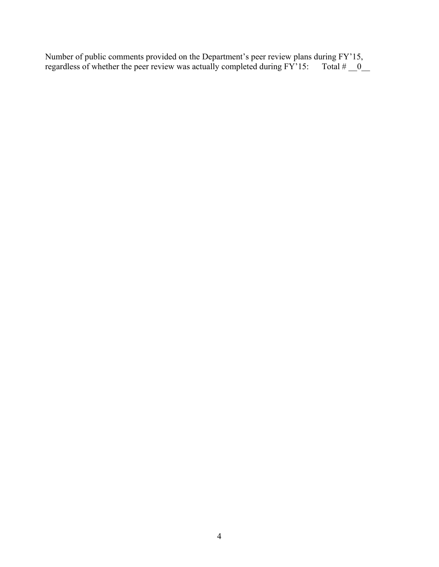Number of public comments provided on the Department's peer review plans during FY'15, regardless of whether the peer review was actually completed during  $FY'15$ : Total  $\# \_0$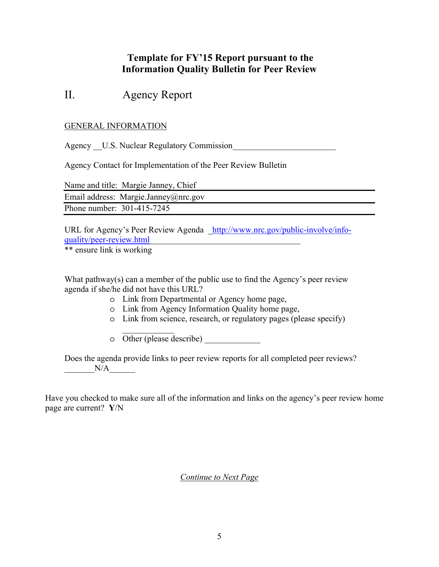## **Template for FY'15 Report pursuant to the Information Quality Bulletin for Peer Review**

# II. Agency Report

### GENERAL INFORMATION

Agency U.S. Nuclear Regulatory Commission

Agency Contact for Implementation of the Peer Review Bulletin

|                            | Name and title: Margie Janney, Chief |
|----------------------------|--------------------------------------|
|                            | Email address: Margie.Janney@nrc.gov |
| Phone number: 301-415-7245 |                                      |

URL for Agency's Peer Review Agenda http://www.nrc.gov/public-involve/infoquality/peer-review.html\_\_\_\_\_\_\_\_\_\_\_\_\_\_\_\_\_\_\_\_\_\_\_\_\_\_\_\_\_\_\_\_\_\_\_

\*\* ensure link is working

What pathway(s) can a member of the public use to find the Agency's peer review agenda if she/he did not have this URL?

- o Link from Departmental or Agency home page,
- o Link from Agency Information Quality home page,
- o Link from science, research, or regulatory pages (please specify)
- $\frac{1}{2}$ o Other (please describe) \_\_\_\_\_\_\_\_\_\_\_\_\_

Does the agenda provide links to peer review reports for all completed peer reviews?  $N/A$ 

Have you checked to make sure all of the information and links on the agency's peer review home page are current? **Y**/N

*Continue to Next Page*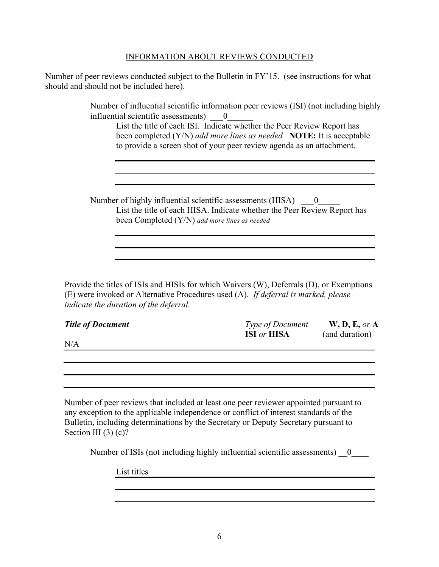#### INFORMATION ABOUT REVIEWS CONDUCTED

Number of peer reviews conducted subject to the Bulletin in FY'15. (see instructions for what should and should not be included here).

> Number of influential scientific information peer reviews (ISI) (not including highly influential scientific assessments)  $\qquad 0$

List the title of each ISI. Indicate whether the Peer Review Report has been completed (Y/N) *add more lines as needed* **NOTE:** It is acceptable to provide a screen shot of your peer review agenda as an attachment.

Number of highly influential scientific assessments (HISA)  $\qquad 0$ List the title of each HISA. Indicate whether the Peer Review Report has been Completed (Y/N) *add more lines as needed*

Provide the titles of ISIs and HISIs for which Waivers (W), Deferrals (D), or Exemptions (E) were invoked or Alternative Procedures used (A). *If deferral is marked, please indicate the duration of the deferral.*

| <b>Title of Document</b> | <b>Type of Document</b>   | W, D, E, or A  |
|--------------------------|---------------------------|----------------|
|                          | <b>ISI</b> or <b>HISA</b> | (and duration) |
| N/A                      |                           |                |

Number of peer reviews that included at least one peer reviewer appointed pursuant to any exception to the applicable independence or conflict of interest standards of the Bulletin, including determinations by the Secretary or Deputy Secretary pursuant to Section III (3) (c)?

Number of ISIs (not including highly influential scientific assessments)  $\qquad 0$ 

List titles